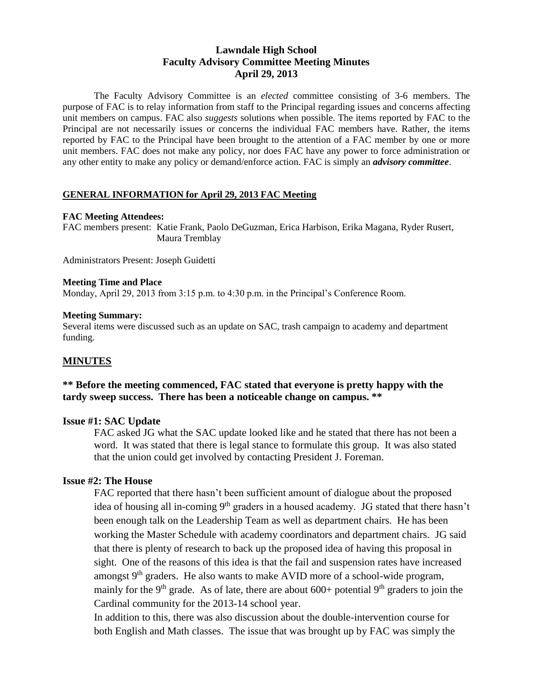# **Lawndale High School Faculty Advisory Committee Meeting Minutes April 29, 2013**

The Faculty Advisory Committee is an *elected* committee consisting of 3-6 members. The purpose of FAC is to relay information from staff to the Principal regarding issues and concerns affecting unit members on campus. FAC also *suggests* solutions when possible. The items reported by FAC to the Principal are not necessarily issues or concerns the individual FAC members have. Rather, the items reported by FAC to the Principal have been brought to the attention of a FAC member by one or more unit members. FAC does not make any policy, nor does FAC have any power to force administration or any other entity to make any policy or demand/enforce action. FAC is simply an *advisory committee*.

#### **GENERAL INFORMATION for April 29, 2013 FAC Meeting**

#### **FAC Meeting Attendees:**

FAC members present: Katie Frank, Paolo DeGuzman, Erica Harbison, Erika Magana, Ryder Rusert, Maura Tremblay

Administrators Present: Joseph Guidetti

#### **Meeting Time and Place**

Monday, April 29, 2013 from 3:15 p.m. to 4:30 p.m. in the Principal's Conference Room.

#### **Meeting Summary:**

Several items were discussed such as an update on SAC, trash campaign to academy and department funding.

### **MINUTES**

## **\*\* Before the meeting commenced, FAC stated that everyone is pretty happy with the tardy sweep success. There has been a noticeable change on campus. \*\***

#### **Issue #1: SAC Update**

FAC asked JG what the SAC update looked like and he stated that there has not been a word. It was stated that there is legal stance to formulate this group. It was also stated that the union could get involved by contacting President J. Foreman.

#### **Issue #2: The House**

FAC reported that there hasn't been sufficient amount of dialogue about the proposed idea of housing all in-coming 9<sup>th</sup> graders in a housed academy. JG stated that there hasn't been enough talk on the Leadership Team as well as department chairs. He has been working the Master Schedule with academy coordinators and department chairs. JG said that there is plenty of research to back up the proposed idea of having this proposal in sight. One of the reasons of this idea is that the fail and suspension rates have increased amongst  $9<sup>th</sup>$  graders. He also wants to make AVID more of a school-wide program, mainly for the 9<sup>th</sup> grade. As of late, there are about 600+ potential 9<sup>th</sup> graders to join the Cardinal community for the 2013-14 school year.

In addition to this, there was also discussion about the double-intervention course for both English and Math classes. The issue that was brought up by FAC was simply the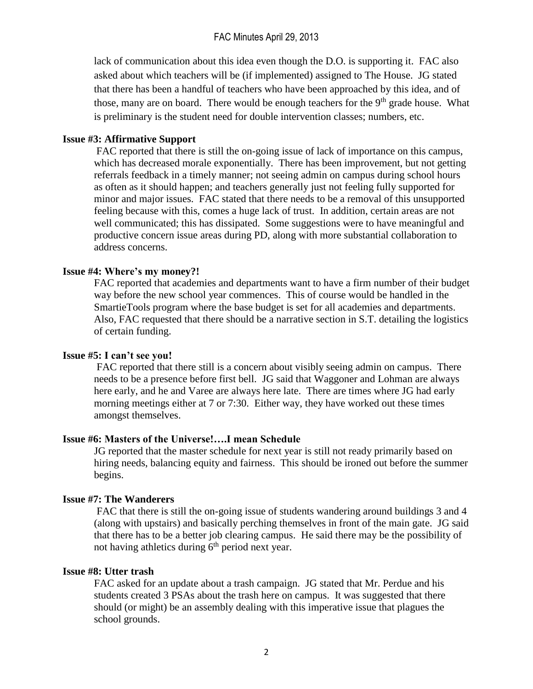lack of communication about this idea even though the D.O. is supporting it. FAC also asked about which teachers will be (if implemented) assigned to The House. JG stated that there has been a handful of teachers who have been approached by this idea, and of those, many are on board. There would be enough teachers for the  $9<sup>th</sup>$  grade house. What is preliminary is the student need for double intervention classes; numbers, etc.

### **Issue #3: Affirmative Support**

FAC reported that there is still the on-going issue of lack of importance on this campus, which has decreased morale exponentially. There has been improvement, but not getting referrals feedback in a timely manner; not seeing admin on campus during school hours as often as it should happen; and teachers generally just not feeling fully supported for minor and major issues. FAC stated that there needs to be a removal of this unsupported feeling because with this, comes a huge lack of trust. In addition, certain areas are not well communicated; this has dissipated. Some suggestions were to have meaningful and productive concern issue areas during PD, along with more substantial collaboration to address concerns.

## **Issue #4: Where's my money?!**

FAC reported that academies and departments want to have a firm number of their budget way before the new school year commences. This of course would be handled in the SmartieTools program where the base budget is set for all academies and departments. Also, FAC requested that there should be a narrative section in S.T. detailing the logistics of certain funding.

### **Issue #5: I can't see you!**

FAC reported that there still is a concern about visibly seeing admin on campus. There needs to be a presence before first bell. JG said that Waggoner and Lohman are always here early, and he and Varee are always here late. There are times where JG had early morning meetings either at 7 or 7:30. Either way, they have worked out these times amongst themselves.

### **Issue #6: Masters of the Universe!….I mean Schedule**

JG reported that the master schedule for next year is still not ready primarily based on hiring needs, balancing equity and fairness. This should be ironed out before the summer begins.

# **Issue #7: The Wanderers**

FAC that there is still the on-going issue of students wandering around buildings 3 and 4 (along with upstairs) and basically perching themselves in front of the main gate. JG said that there has to be a better job clearing campus. He said there may be the possibility of not having athletics during  $6<sup>th</sup>$  period next year.

### **Issue #8: Utter trash**

FAC asked for an update about a trash campaign. JG stated that Mr. Perdue and his students created 3 PSAs about the trash here on campus. It was suggested that there should (or might) be an assembly dealing with this imperative issue that plagues the school grounds.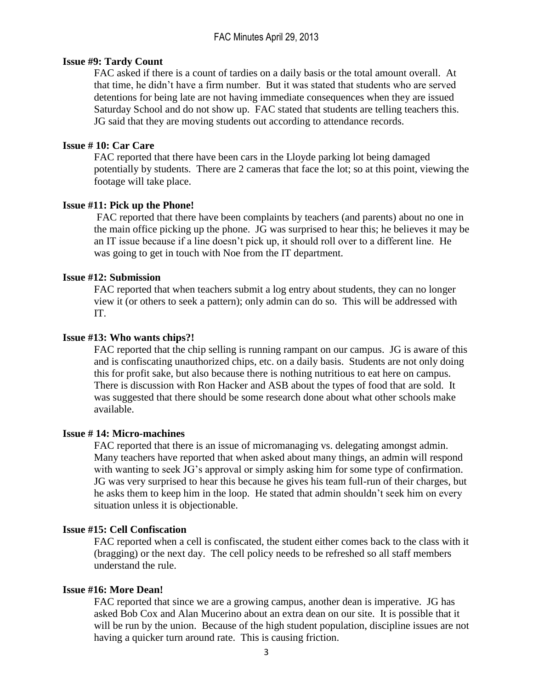## FAC Minutes April 29, 2013

### **Issue #9: Tardy Count**

FAC asked if there is a count of tardies on a daily basis or the total amount overall. At that time, he didn't have a firm number. But it was stated that students who are served detentions for being late are not having immediate consequences when they are issued Saturday School and do not show up. FAC stated that students are telling teachers this. JG said that they are moving students out according to attendance records.

### **Issue # 10: Car Care**

FAC reported that there have been cars in the Lloyde parking lot being damaged potentially by students. There are 2 cameras that face the lot; so at this point, viewing the footage will take place.

### **Issue #11: Pick up the Phone!**

FAC reported that there have been complaints by teachers (and parents) about no one in the main office picking up the phone. JG was surprised to hear this; he believes it may be an IT issue because if a line doesn't pick up, it should roll over to a different line. He was going to get in touch with Noe from the IT department.

### **Issue #12: Submission**

FAC reported that when teachers submit a log entry about students, they can no longer view it (or others to seek a pattern); only admin can do so. This will be addressed with IT.

### **Issue #13: Who wants chips?!**

FAC reported that the chip selling is running rampant on our campus. JG is aware of this and is confiscating unauthorized chips, etc. on a daily basis. Students are not only doing this for profit sake, but also because there is nothing nutritious to eat here on campus. There is discussion with Ron Hacker and ASB about the types of food that are sold. It was suggested that there should be some research done about what other schools make available.

#### **Issue # 14: Micro-machines**

FAC reported that there is an issue of micromanaging vs. delegating amongst admin. Many teachers have reported that when asked about many things, an admin will respond with wanting to seek JG's approval or simply asking him for some type of confirmation. JG was very surprised to hear this because he gives his team full-run of their charges, but he asks them to keep him in the loop. He stated that admin shouldn't seek him on every situation unless it is objectionable.

#### **Issue #15: Cell Confiscation**

FAC reported when a cell is confiscated, the student either comes back to the class with it (bragging) or the next day. The cell policy needs to be refreshed so all staff members understand the rule.

### **Issue #16: More Dean!**

FAC reported that since we are a growing campus, another dean is imperative. JG has asked Bob Cox and Alan Mucerino about an extra dean on our site. It is possible that it will be run by the union. Because of the high student population, discipline issues are not having a quicker turn around rate. This is causing friction.